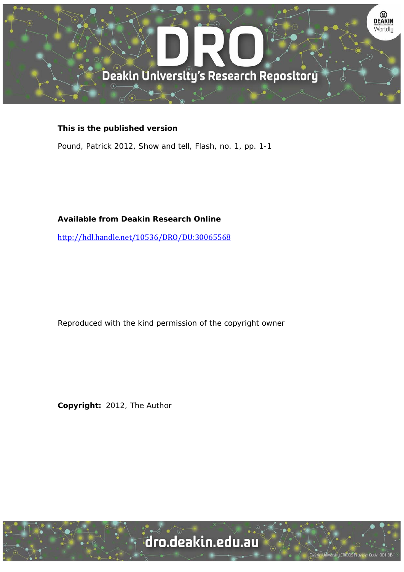

## **This is the published version**

Pound, Patrick 2012, Show and tell, Flash, no. 1, pp. 1-1

## **Available from Deakin Research Online**

http://hdl.handle.net/10536/DRO/DU:30065568 

Reproduced with the kind permission of the copyright owner

**Copyright:** 2012, The Author

University CRICOS Provider Code: 00113B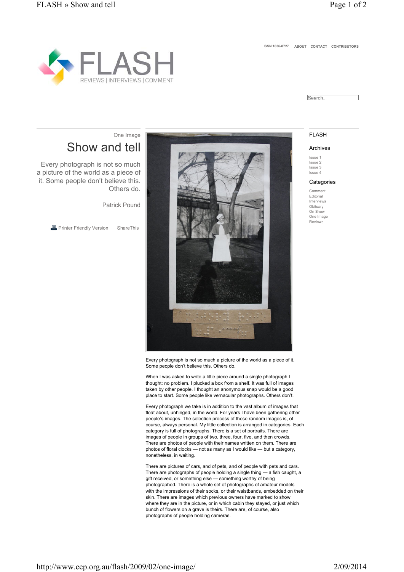**ISSN 1836-8727 ABOUT CONTACT CONTRIBUTORS**



Search.

### **FLASH**

#### Archives

Issue 1 Issue 2 Issue 3 Issue 4

#### **Categories**

Comment Editorial Interviews **Obituary** On Show One Image Reviews

# Show and tell One Image

Every photograph is not so much a picture of the world as a piece of it. Some people don't believe this. Others do.

Patrick Pound

**B** Printer Friendly Version ShareThis



Every photograph is not so much a picture of the world as a piece of it. Some people don't believe this. Others do.

When I was asked to write a little piece around a single photograph I thought: no problem. I plucked a box from a shelf. It was full of images taken by other people. I thought an anonymous snap would be a good place to start. Some people like vernacular photographs. Others don't.

Every photograph we take is in addition to the vast album of images that float about, unhinged, in the world. For years I have been gathering other people's images. The selection process of these random images is, of course, always personal. My little collection is arranged in categories. Each category is full of photographs. There is a set of portraits. There are images of people in groups of two, three, four, five, and then crowds. There are photos of people with their names written on them. There are photos of floral clocks — not as many as I would like — but a category, nonetheless, in waiting.

There are pictures of cars, and of pets, and of people with pets and cars. There are photographs of people holding a single thing — a fish caught, a gift received, or something else — something worthy of being photographed. There is a whole set of photographs of amateur models with the impressions of their socks, or their waistbands, embedded on their skin. There are images which previous owners have marked to show where they are in the picture, or in which cabin they stayed, or just which bunch of flowers on a grave is theirs. There are, of course, also photographs of people holding cameras.